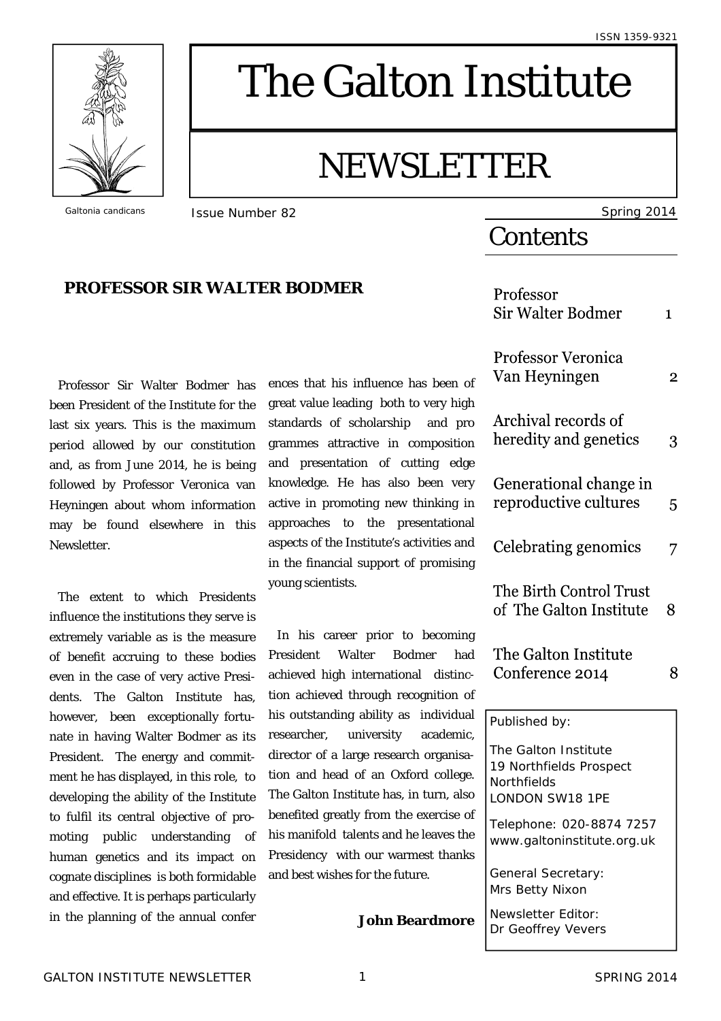

# The Galton Institute

## NEWSLETTER

*Galtonia candicans* **ISSUE Number 82** Spring 2014

## **Contents**

|                           | Professor<br><b>Sir Walter Bodmer</b>                                             | $\mathbf{1}$   |
|---------------------------|-----------------------------------------------------------------------------------|----------------|
| of                        | <b>Professor Veronica</b><br>Van Heyningen                                        | $\overline{2}$ |
| gh<br>ro<br>on<br>ge      | Archival records of<br>heredity and genetics                                      | 3              |
| ry<br>in<br>ıal           | Generational change in<br>reproductive cultures                                   | 5              |
| nd<br>ng                  | Celebrating genomics                                                              | 7              |
|                           | The Birth Control Trust<br>of The Galton Institute                                | 8              |
| ng<br>ad<br>$C-$<br>of    | The Galton Institute<br>Conference 2014                                           | 8              |
| ıal                       | Published by:                                                                     |                |
| ic,<br>$a-$<br>gе.<br>SO. | The Galton Institute<br>19 Northfields Prospect<br>Northfields<br>LONDON SW18 1PE |                |
| of<br>he<br>ks            | Telephone: 020-8874 7257<br>www.galtoninstitute.org.uk                            |                |
|                           | General Secretary:<br>Mrs Betty Nixon                                             |                |
| re                        | Newsletter Editor:<br>Dr Geoffrey Vevers                                          |                |

**PROFESSOR SIR WALTER BODMER**

Professor Sir Walter Bodmer has been President of the Institute for the last six years. This is the maximum period allowed by our constitution and, as from June 2014, he is being followed by Professor Veronica van Heyningen about whom information may be found elsewhere in this Newsletter.

The extent to which Presidents influence the institutions they serve is extremely variable as is the measure of benefit accruing to these bodies even in the case of very active Presidents. The Galton Institute has, however, been exceptionally fortunate in having Walter Bodmer as its President. The energy and commitment he has displayed, in this role, to developing the ability of the Institute to fulfil its central objective of promoting public understanding of human genetics and its impact on cognate disciplines is both formidable and effective. It is perhaps particularly in the planning of the annual confer

ences that his influence has been great value leading both to very high standards of scholarship and pr grammes attractive in composition and presentation of cutting edg knowledge. He has also been ver active in promoting new thinking approaches to the presentation aspects of the Institute's activities an in the financial support of promisin young scientists.

In his career prior to becoming President Walter Bodmer ha achieved high international distin tion achieved through recognition his outstanding ability as individu researcher, university academi director of a large research organis tion and head of an Oxford colleg The Galton Institute has, in turn, als benefited greatly from the exercise his manifold talents and he leaves the Presidency with our warmest than and best wishes for the future.

**John Beardmon**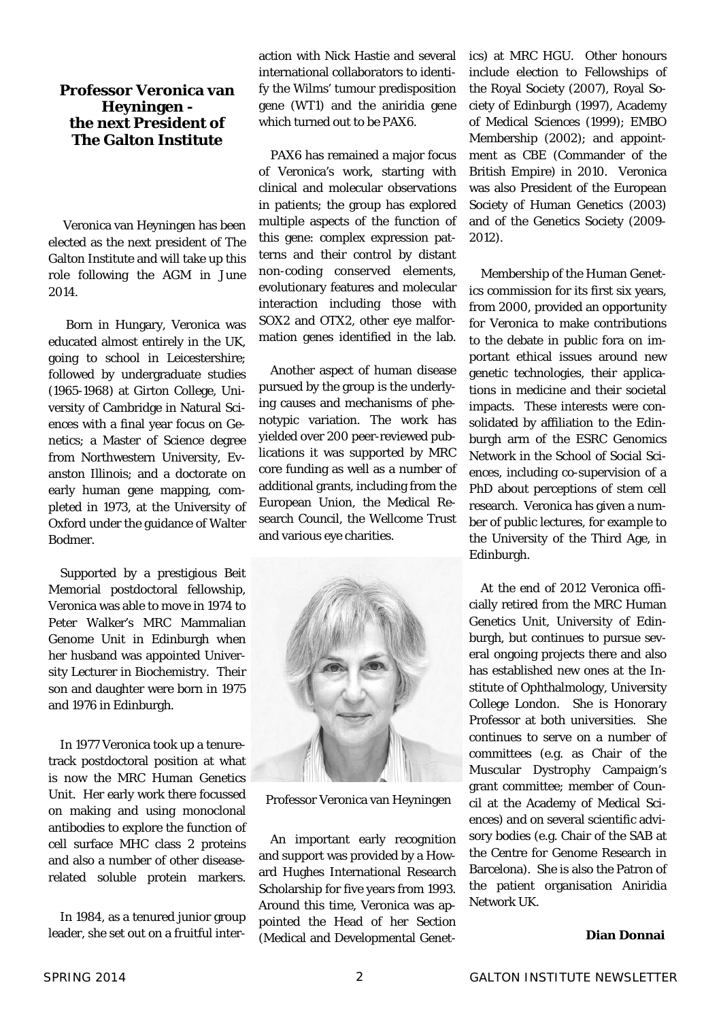### **Professor Veronica van Heyningen the next President of The Galton Institute**

Veronica van Heyningen has been elected as the next president of The Galton Institute and will take up this role following the AGM in June 2014.

 Born in Hungary, Veronica was educated almost entirely in the UK, going to school in Leicestershire; followed by undergraduate studies (1965-1968) at Girton College, University of Cambridge in Natural Sciences with a final year focus on Genetics; a Master of Science degree from Northwestern University, Evanston Illinois; and a doctorate on early human gene mapping, completed in 1973, at the University of Oxford under the guidance of Walter Bodmer.

 Supported by a prestigious Beit Memorial postdoctoral fellowship, Veronica was able to move in 1974 to Peter Walker's MRC Mammalian Genome Unit in Edinburgh when her husband was appointed University Lecturer in Biochemistry. Their son and daughter were born in 1975 and 1976 in Edinburgh.

 In 1977 Veronica took up a tenuretrack postdoctoral position at what is now the MRC Human Genetics Unit. Her early work there focussed on making and using monoclonal antibodies to explore the function of cell surface MHC class 2 proteins and also a number of other diseaserelated soluble protein markers.

 In 1984, as a tenured junior group leader, she set out on a fruitful interaction with Nick Hastie and several international collaborators to identify the Wilms' tumour predisposition gene (WT1) and the aniridia gene which turned out to be PAX6.

 PAX6 has remained a major focus of Veronica's work, starting with clinical and molecular observations in patients; the group has explored multiple aspects of the function of this gene: complex expression patterns and their control by distant non-coding conserved elements, evolutionary features and molecular interaction including those with SOX2 and OTX2, other eye malformation genes identified in the lab.

 Another aspect of human disease pursued by the group is the underlying causes and mechanisms of phenotypic variation. The work has yielded over 200 peer-reviewed publications it was supported by MRC core funding as well as a number of additional grants, including from the European Union, the Medical Research Council, the Wellcome Trust and various eye charities.



Professor Veronica van Heyningen

 An important early recognition and support was provided by a Howard Hughes International Research Scholarship for five years from 1993. Around this time, Veronica was appointed the Head of her Section (Medical and Developmental Genetics) at MRC HGU. Other honours include election to Fellowships of the Royal Society (2007), Royal Society of Edinburgh (1997), Academy of Medical Sciences (1999); EMBO Membership (2002); and appointment as CBE (Commander of the British Empire) in 2010. Veronica was also President of the European Society of Human Genetics (2003) and of the Genetics Society (2009- 2012).

 Membership of the Human Genetics commission for its first six years, from 2000, provided an opportunity for Veronica to make contributions to the debate in public fora on important ethical issues around new genetic technologies, their applications in medicine and their societal impacts. These interests were consolidated by affiliation to the Edinburgh arm of the ESRC Genomics Network in the School of Social Sciences, including co-supervision of a PhD about perceptions of stem cell research. Veronica has given a number of public lectures, for example to the University of the Third Age, in Edinburgh.

 At the end of 2012 Veronica officially retired from the MRC Human Genetics Unit, University of Edinburgh, but continues to pursue several ongoing projects there and also has established new ones at the Institute of Ophthalmology, University College London. She is Honorary Professor at both universities. She continues to serve on a number of committees (e.g. as Chair of the Muscular Dystrophy Campaign's grant committee; member of Council at the Academy of Medical Sciences) and on several scientific advisory bodies (e.g. Chair of the SAB at the Centre for Genome Research in Barcelona). She is also the Patron of the patient organisation Aniridia Network UK.

#### **Dian Donnai**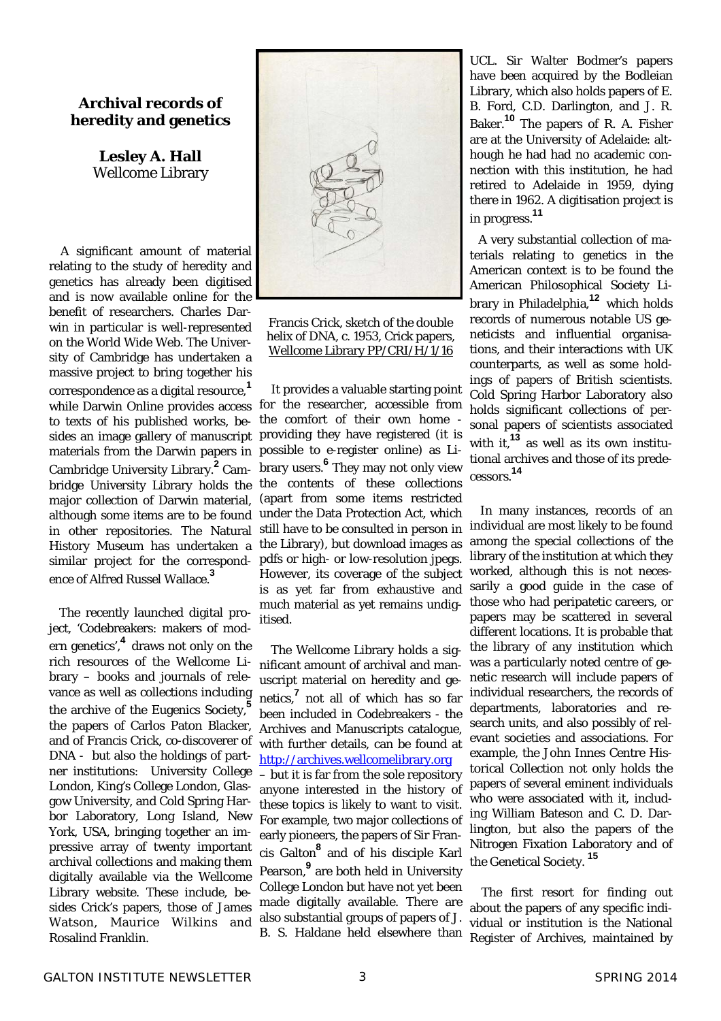#### **Archival records of heredity and genetics**

**Lesley A. Hall**  Wellcome Library

 A significant amount of material relating to the study of heredity and genetics has already been digitised and is now available online for the benefit of researchers. Charles Darwin in particular is well-represented on the World Wide Web. The University of Cambridge has undertaken a massive project to bring together his correspondence as a digital resource,**<sup>1</sup>** while Darwin Online provides access to texts of his published works, besides an image gallery of manuscript materials from the Darwin papers in Cambridge University Library.**<sup>2</sup>** Cambridge University Library holds the major collection of Darwin material, although some items are to be found in other repositories. The Natural History Museum has undertaken a similar project for the correspondence of Alfred Russel Wallace.**<sup>3</sup>**

The recently launched digital project, 'Codebreakers: makers of modern genetics',**4** draws not only on the rich resources of the Wellcome Library – books and journals of relevance as well as collections including the archive of the Eugenics Society,**<sup>5</sup>** the papers of Carlos Paton Blacker, and of Francis Crick, co-discoverer of DNA - but also the holdings of partner institutions: University College London, King's College London, Glasgow University, and Cold Spring Harbor Laboratory, Long Island, New York, USA, bringing together an impressive array of twenty important archival collections and making them digitally available via the Wellcome Library website. These include, besides Crick's papers, those of James Watson, Maurice Wilkins and Rosalind Franklin.



Francis Crick, sketch of the double helix of DNA, c. 1953, Crick papers, Wellcome Library PP/CRI/H/1/16

 It provides a valuable starting point for the researcher, accessible from the comfort of their own home providing they have registered (it is possible to e-register online) as Library users.**<sup>6</sup>** They may not only view the contents of these collections (apart from some items restricted under the Data Protection Act, which still have to be consulted in person in the Library), but download images as pdfs or high- or low-resolution jpegs. However, its coverage of the subject is as yet far from exhaustive and much material as yet remains undigitised.

 The Wellcome Library holds a significant amount of archival and manuscript material on heredity and genetics,**<sup>7</sup>** not all of which has so far been included in Codebreakers - the Archives and Manuscripts catalogue, with further details, can be found at http://archives.wellcomelibrary.org – but it is far from the sole repository anyone interested in the history of these topics is likely to want to visit. For example, two major collections of early pioneers, the papers of Sir Francis Galton<sup>8</sup> and of his disciple Karl Pearson, <sup>9</sup> are both held in University College London but have not yet been made digitally available. There are also substantial groups of papers of J. B. S. Haldane held elsewhere than

UCL. Sir Walter Bodmer's papers have been acquired by the Bodleian Library, which also holds papers of E. B. Ford, C.D. Darlington, and J. R. Baker.**10** The papers of R. A. Fisher are at the University of Adelaide: although he had had no academic connection with this institution, he had retired to Adelaide in 1959, dying there in 1962. A digitisation project is in progress.**<sup>11</sup>**

A very substantial collection of materials relating to genetics in the American context is to be found the American Philosophical Society Library in Philadelphia,**12** which holds records of numerous notable US geneticists and influential organisations, and their interactions with UK counterparts, as well as some holdings of papers of British scientists. Cold Spring Harbor Laboratory also holds significant collections of personal papers of scientists associated with it,<sup>13</sup> as well as its own institutional archives and those of its predecessors. **14** 

In many instances, records of an individual are most likely to be found among the special collections of the library of the institution at which they worked, although this is not necessarily a good guide in the case of those who had peripatetic careers, or papers may be scattered in several different locations. It is probable that the library of any institution which was a particularly noted centre of genetic research will include papers of individual researchers, the records of departments, laboratories and research units, and also possibly of relevant societies and associations. For example, the John Innes Centre Historical Collection not only holds the papers of several eminent individuals who were associated with it, including William Bateson and C. D. Darlington, but also the papers of the Nitrogen Fixation Laboratory and of the Genetical Society. **<sup>15</sup>**

 The first resort for finding out about the papers of any specific individual or institution is the National Register of Archives, maintained by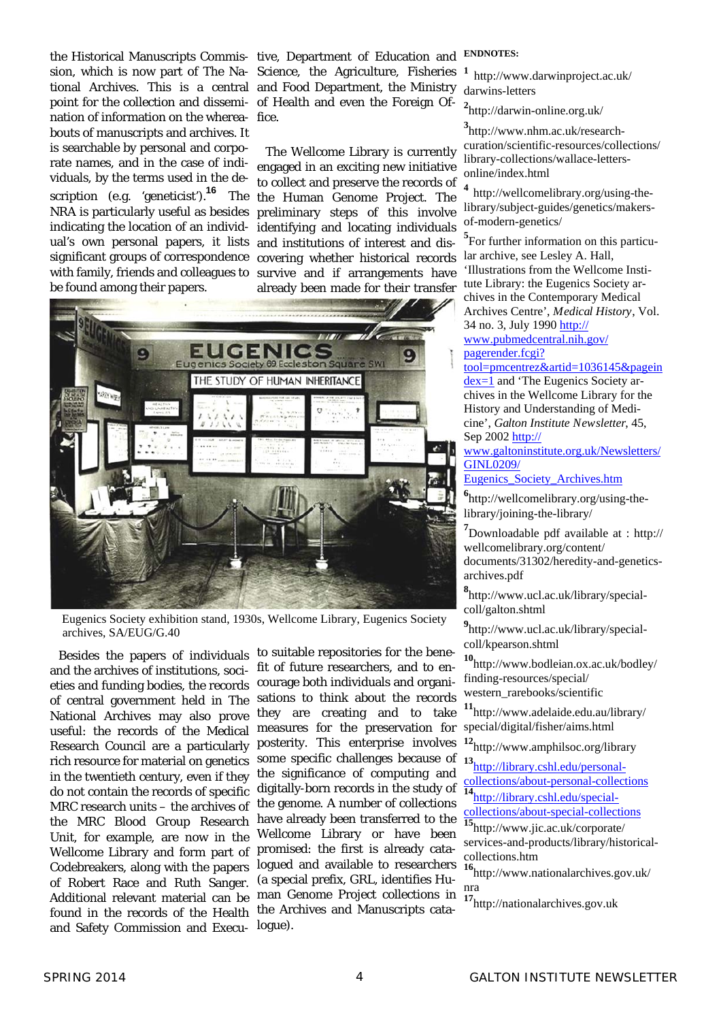point for the collection and dissemi-of Health and even the Foreign Ofnation of information on the wherea-fice. bouts of manuscripts and archives. It is searchable by personal and corporate names, and in the case of individuals, by the terms used in the description (e.g. 'geneticist').**16** The NRA is particularly useful as besides indicating the location of an individ- identifying and locating individuals ual's own personal papers, it lists and institutions of interest and dissignificant groups of correspondence covering whether historical records with family, friends and colleagues to survive and if arrangements have be found among their papers.

the Historical Manuscripts Commis-tive, Department of Education and sion, which is now part of The Na-Science, the Agriculture, Fisheries tional Archives. This is a central and Food Department, the Ministry

> The Wellcome Library is currently engaged in an exciting new initiative to collect and preserve the records of the Human Genome Project. The preliminary steps of this involve already been made for their transfer



Eugenics Society exhibition stand, 1930s, Wellcome Library, Eugenics Society archives, SA/EUG/G.40

and the archives of institutions, societies and funding bodies, the records of central government held in The National Archives may also prove useful: the records of the Medical Research Council are a particularly rich resource for material on genetics in the twentieth century, even if they do not contain the records of specific MRC research units – the archives of the MRC Blood Group Research Unit, for example, are now in the Wellcome Library and form part of Codebreakers, along with the papers of Robert Race and Ruth Sanger. Additional relevant material can be found in the records of the Health and Safety Commission and Execu-

Besides the papers of individuals to suitable repositories for the benefit of future researchers, and to encourage both individuals and organisations to think about the records they are creating and to take measures for the preservation for special/digital/fisher/aims.html posterity. This enterprise involves **<sup>12</sup>**http://www.amphilsoc.org/library some specific challenges because of the significance of computing and digitally-born records in the study of the genome. A number of collections have already been transferred to the collections/about-special-collections have already been transferred to the Wellcome Library or have been promised: the first is already catalogued and available to researchers (a special prefix, GRL, identifies Human Genome Project collections in the Archives and Manuscripts catalogue).

#### **ENDNOTES:**

**<sup>1</sup>**http://www.darwinproject.ac.uk/ darwins-letters

**2** http://darwin-online.org.uk/

**3** http://www.nhm.ac.uk/researchcuration/scientific-resources/collections/ library-collections/wallace-lettersonline/index.html

**<sup>4</sup>**http://wellcomelibrary.org/using-thelibrary/subject-guides/genetics/makersof-modern-genetics/

**5** For further information on this particular archive, see Lesley A. Hall, 'Illustrations from the Wellcome Institute Library: the Eugenics Society archives in the Contemporary Medical Archives Centre', *Medical History*, Vol. 34 no. 3, July 1990 http://

www.pubmedcentral.nih.gov/ pagerender.fcgi?

tool=pmcentrez&artid=1036145&pagein dex=1 and 'The Eugenics Society archives in the Wellcome Library for the History and Understanding of Medicine', *Galton Institute Newsletter*, 45, Sep 2002 http://

www.galtoninstitute.org.uk/Newsletters/ GINL0209/

Eugenics\_Society\_Archives.htm

**6** http://wellcomelibrary.org/using-thelibrary/joining-the-library/

**7** Downloadable pdf available at : http:// wellcomelibrary.org/content/ documents/31302/heredity-and-geneticsarchives.pdf

**8** http://www.ucl.ac.uk/library/specialcoll/galton.shtml

**9** http://www.ucl.ac.uk/library/specialcoll/kpearson.shtml

**<sup>10</sup>**http://www.bodleian.ox.ac.uk/bodley/ finding-resources/special/ western\_rarebooks/scientific

**<sup>11</sup>**http://www.adelaide.edu.au/library/

**<sup>13</sup>**http://library.cshl.edu/personalcollections/about-personal-collections

**<sup>14</sup>**http://library.cshl.edu/special-

**<sup>15</sup>**http://www.jic.ac.uk/corporate/ services-and-products/library/historicalcollections.htm

**<sup>16</sup>**http://www.nationalarchives.gov.uk/ nra

**<sup>17</sup>**http://nationalarchives.gov.uk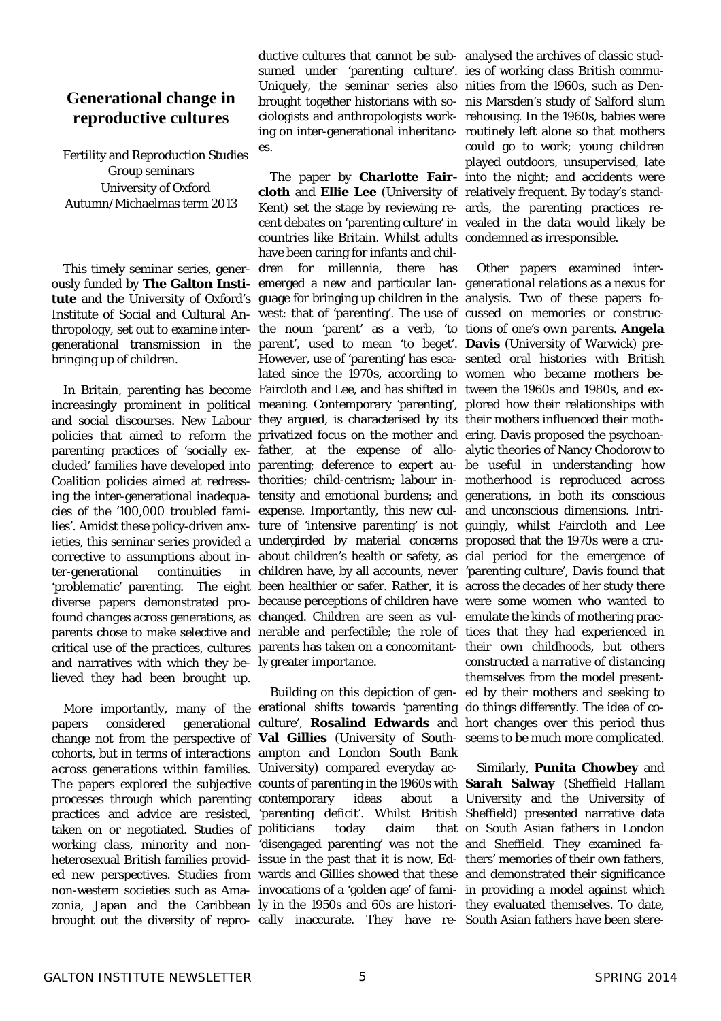### **Generational change in reproductive cultures**

Fertility and Reproduction Studies Group seminars University of Oxford Autumn/Michaelmas term 2013

 This timely seminar series, generbringing up of children.

increasingly prominent in political meaning. Contemporary 'parenting', plored how their relationships with and social discourses. New Labour they argued, is characterised by its their mothers influenced their mothpolicies that aimed to reform the privatized focus on the mother and ering. Davis proposed the psychoanparenting practices of 'socially ex-father, at the expense of allo-alytic theories of Nancy Chodorow to cluded' families have developed into parenting; deference to expert au-be useful in understanding how Coalition policies aimed at redress-thorities; child-centrism; labour in-motherhood is reproduced across ing the inter-generational inadequa-tensity and emotional burdens; and generations, in both its conscious cies of the '100,000 troubled fami-expense. Importantly, this new cul-and unconscious dimensions. Intrilies'. Amidst these policy-driven anx-ture of 'intensive parenting' is not guingly, whilst Faircloth and Lee ieties, this seminar series provided a undergirded by material concerns proposed that the 1970s were a crucorrective to assumptions about in- about children's health or safety, as cial period for the emergence of ter-generational continuities 'problematic' parenting. The eight been healthier or safer. Rather, it is across the decades of her study there diverse papers demonstrated pro-because perceptions of children have were some women who wanted to found *changes* across generations, as changed. Children are seen as vul- emulate the kinds of mothering pracparents chose to make selective and nerable and perfectible; the role of tices that they had experienced in critical use of the practices, cultures parents has taken on a concomitant-their own childhoods, but others and narratives with which they be-ly greater importance. lieved they had been brought up.

 More importantly, many of the erational shifts towards 'parenting do things differently. The idea of copapers considered generational culture', **Rosalind Edwards** and hort changes over this period thus change not from the perspective of **Val Gillies** (University of South-seems to be much more complicated. *cohorts*, but in terms of *interactions*  ampton and London South Bank *across generations within families*. University) compared everyday ac-The papers explored the *subjective*  counts of parenting in the 1960s with **Sarah Salway** (Sheffield Hallam *processes* through which parenting contemporary ideas about a practices and advice are resisted, 'parenting deficit'. Whilst British Sheffield) presented narrative data taken on or negotiated. Studies of politicians today claim that working class, minority and non-'disengaged parenting' was not the and Sheffield. They examined faheterosexual British families provid- issue in the past that it is now, Ed- thers' memories of their own fathers, ed new perspectives. Studies from wards and Gillies showed that these and demonstrated their significance non-western societies such as Ama- invocations of a 'golden age' of fami- in providing a model against which zonia, Japan and the Caribbean ly in the 1950s and 60s are histori- they evaluated themselves. To date, brought out the diversity of repro-cally inaccurate. They have re-South Asian fathers have been stere-

ductive cultures that cannot be sub-analysed the archives of classic studsumed under 'parenting culture'. ies of working class British commu-Uniquely, the seminar series also nities from the 1960s, such as Denes.

ously funded by **The Galton Insti-**emerged a new and particular lan-*generational relations* as a nexus for **tute** and the University of Oxford's guage for bringing up children in the analysis. Two of these papers fo-Institute of Social and Cultural An-west: that of 'parenting'. The use of cussed on *memories* or *construc*thropology, set out to examine inter-the noun 'parent' as a verb, 'to *tions of one's own parents*. **Angela**  generational transmission in the parent', used to mean 'to beget'. **Davis** (University of Warwick) pre-In Britain, parenting has become Faircloth and Lee, and has shifted in tween the 1960s and 1980s, and ex- The paper by **Charlotte Fair-**into the night; and accidents were **cloth** and **Ellie Lee** (University of relatively frequent. By today's stand-Kent) set the stage by reviewing re-ards, the parenting practices recent debates on 'parenting culture' in vealed in the data would likely be countries like Britain. Whilst adults condemned as irresponsible. have been caring for infants and children for millennia, there has However, use of 'parenting' has esca-sented oral histories with British lated since the 1970s, according to women who became mothers bechildren have, by all accounts, never 'parenting culture', Davis found that

Building on this depiction of gen-ed by their mothers and seeking to

brought together historians with so-nis Marsden's study of Salford slum ciologists and anthropologists work-rehousing. In the 1960s, babies were ing on inter-generational inheritanc-routinely left alone so that mothers could go to work; young children played outdoors, unsupervised, late

> Other papers examined *inter*constructed a narrative of distancing themselves from the model present-

 Similarly, **Punita Chowbey** and University and the University of claim that on South Asian fathers in London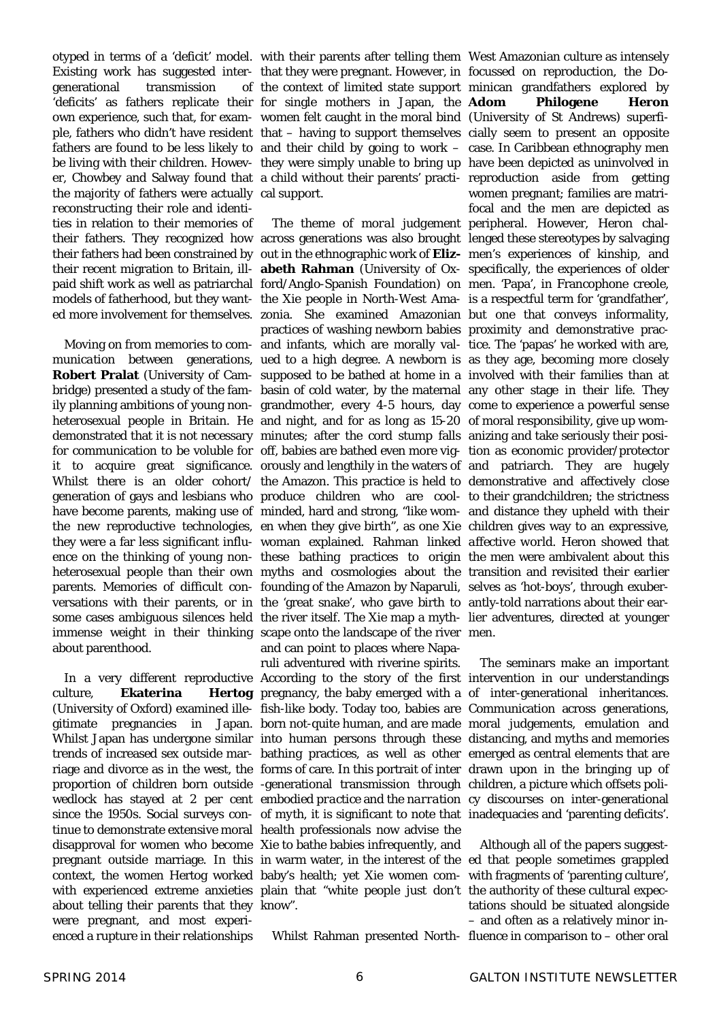otyped in terms of a 'deficit' model. with their parents after telling them West Amazonian culture as intensely Existing work has suggested inter-that they were pregnant. However, in focussed on reproduction, the Dogenerational transmission 'deficits' as fathers replicate their for single mothers in Japan, the own experience, such that, for exam-women felt caught in the moral bind (University of St Andrews) superfithe majority of fathers were actually cal support. *reconstructing* their role and identities in relation to their memories of

about parenthood.

culture. **Ekaterina** (University of Oxford) examined ille-fish-like body. Today too, babies are Communication across generations, gitimate pregnancies in Japan. born not-quite human, and are made moral judgements, emulation and Whilst Japan has undergone similar into human persons through these distancing, and myths and memories trends of increased sex outside mar-bathing practices, as well as other emerged as central elements that are riage and divorce as in the west, the forms of care. In this portrait of inter drawn upon in the bringing up of proportion of children born outside -generational transmission through children, a picture which offsets poliwedlock has stayed at 2 per cent *embodied practice* and the *narration*  cy discourses on inter-generational since the 1950s. Social surveys con- *of myth*, it is significant to note that inadequacies and 'parenting deficits'. tinue to demonstrate extensive moral health professionals now advise the disapproval for women who become Xie to bathe babies infrequently, and pregnant outside marriage. In this in warm water, in the interest of the ed that people sometimes grappled context, the women Hertog worked baby's health; yet Xie women com-with fragments of 'parenting culture', with experienced extreme anxieties plain that "white people just don't the authority of these cultural expecabout telling their parents that they know". were pregnant, and most experienced a rupture in their relationships

their fathers. They recognized how across generations was also brought lenged these stereotypes by salvaging their fathers had been constrained by out in the ethnographic work of **Eliz-**men's experiences of kinship, and their recent migration to Britain, ill-**abeth Rahman** (University of Ox-specifically, the experiences of older paid shift work as well as patriarchal ford/Anglo-Spanish Foundation) on men. 'Papa', in Francophone creole, models of fatherhood, but they want-the Xie people in North-West Ama-is a respectful term for 'grandfather', ed more involvement for themselves. zonia. She examined Amazonian but one that conveys informality, Moving on from memories to *com-*and infants, which are morally val-tice. The 'papas' he worked with are, munication between generations, ued to a high degree. A newborn is as they age, becoming more closely **Robert Pralat** (University of Cam-supposed to be bathed at home in a involved with their families than at bridge) presented a study of the fam- basin of cold water, by the maternal any other stage in their life. They ily planning ambitions of young non-grandmother, every 4-5 hours, day come to experience a powerful sense heterosexual people in Britain. He and night, and for as long as 15-20 of moral responsibility, give up womdemonstrated that it is not necessary minutes; after the cord stump falls anizing and take seriously their posifor communication to be voluble for off, babies are bathed even more vig-tion as economic provider/protector it to acquire great significance. orously and lengthily in the waters of and patriarch. They are hugely Whilst there is an older cohort/ the Amazon. This practice is held to demonstrative and affectively close generation of gays and lesbians who produce children who are cool-to their grandchildren; the strictness have become parents, making use of minded, hard and strong, "like wom-and distance they upheld with their the new reproductive technologies, en when they give birth", as one Xie children gives way to an *expressive,*  they were a far less significant influ-woman explained. Rahman linked *affective world*. Heron showed that ence on the thinking of young non-these bathing practices to origin the men were ambivalent about this heterosexual people than their own myths and cosmologies about the transition and revisited their earlier parents. Memories of difficult con-founding of the Amazon by Naparuli, selves as 'hot-boys', through exuberversations with their parents, or in the 'great snake', who gave birth to antly-told narrations about their earsome cases ambiguous silences held the river itself. The Xie map a myth- lier adventures, directed at younger immense weight in their thinking scape onto the landscape of the river men. The theme of *moral judgement*  peripheral. However, Heron chalpractices of washing newborn babies proximity and demonstrative pracand can point to places where Napa-

ruli adventured with riverine spirits.

ple, fathers who didn't have resident that – having to support themselves cially seem to present an opposite fathers are found to be less likely to and their child by going to work – case. In Caribbean ethnography men be living with their children. Howev-they were simply unable to bring up have been depicted as uninvolved in er, Chowbey and Salway found that a child without their parents' practi-reproduction aside from getting the context of limited state support minican grandfathers explored by **Philogene Heron** women pregnant; families are matrifocal and the men are depicted as

 In a very different reproductive According to the story of the first intervention in our understandings pregnancy, the baby emerged with a of inter-generational inheritances. The seminars make an important

> Whilst Rahman presented North-fluence in comparison to – other oral Although all of the papers suggesttations should be situated alongside – and often as a relatively minor in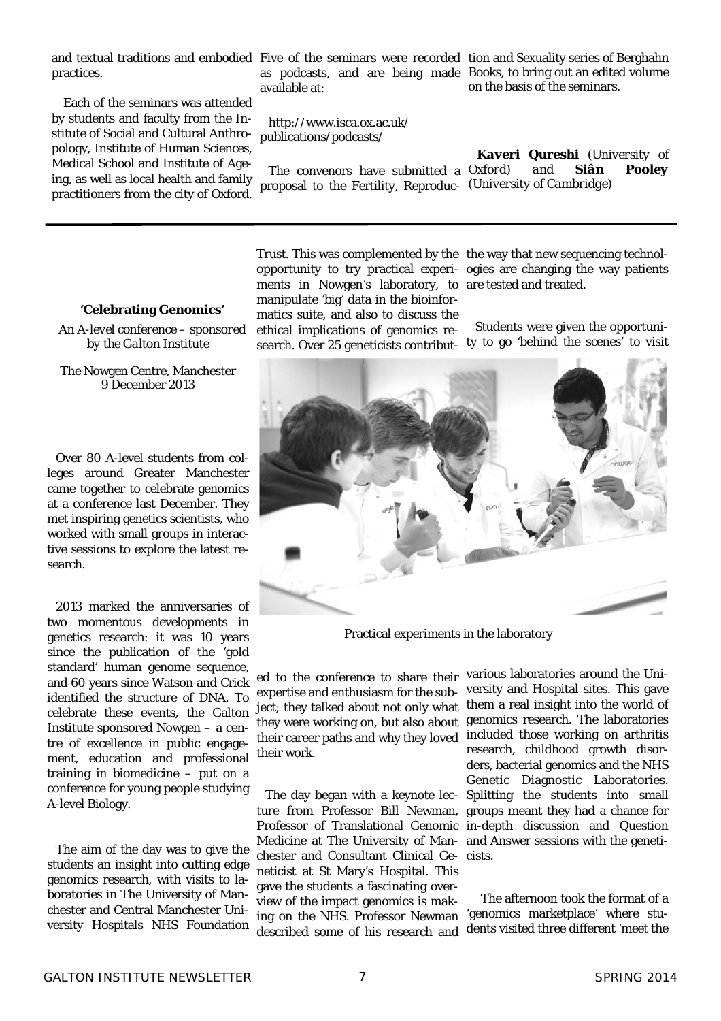practices.

 Each of the seminars was attended by students and faculty from the Institute of Social and Cultural Anthropology, Institute of Human Sciences, Medical School and Institute of Ageing, as well as local health and family practitioners from the city of Oxford.

as podcasts, and are being made Books, to bring out an edited volume available at:

http://www.isca.ox.ac.uk/ publications/podcasts/

proposal to the Fertility, Reproduc-*(University of Cambridge)* 

and textual traditions and embodied Five of the seminars were recorded tion and Sexuality series of Berghahn on the basis of the seminars.

> The convenors have submitted a *Oxford) and Siân Pooley Kaveri Qureshi (University of*

#### **'Celebrating Genomics'**

*An A-level conference – sponsored by the Galton Institute* 

The Nowgen Centre, Manchester 9 December 2013

Over 80 A-level students from colleges around Greater Manchester came together to celebrate genomics at a conference last December. They met inspiring genetics scientists, who worked with small groups in interactive sessions to explore the latest research.

2013 marked the anniversaries of two momentous developments in genetics research: it was 10 years since the publication of the 'gold standard' human genome sequence, and 60 years since Watson and Crick identified the structure of DNA. To celebrate these events, the Galton Institute sponsored Nowgen – a centre of excellence in public engagement, education and professional training in biomedicine – put on a conference for young people studying A-level Biology.

The aim of the day was to give the students an insight into cutting edge genomics research, with visits to laboratories in The University of Manchester and Central Manchester University Hospitals NHS Foundation

ments in Nowgen's laboratory, to are tested and treated. manipulate 'big' data in the bioinformatics suite, and also to discuss the

ethical implications of genomics research. Over 25 geneticists contribut-ty to go 'behind the scenes' to visit

Trust. This was complemented by the the way that new sequencing technolopportunity to try practical experi-ogies are changing the way patients

Students were given the opportuni-



Practical experiments in the laboratory

expertise and enthusiasm for the subject; they talked about not only what their work.

chester and Consultant Clinical Ge-cists. neticist at St Mary's Hospital. This gave the students a fascinating overview of the impact genomics is makdescribed some of his research and

ed to the conference to share their various laboratories around the Unithey were working on, but also about genomics research. The laboratories their career paths and why they loved included those working on arthritis The day began with a keynote lec-Splitting the students into small ture from Professor Bill Newman, groups meant they had a chance for Professor of Translational Genomic in-depth discussion and Question Medicine at The University of Man-and Answer sessions with the genetiversity and Hospital sites. This gave them a real insight into the world of research, childhood growth disorders, bacterial genomics and the NHS Genetic Diagnostic Laboratories.

ing on the NHS. Professor Newman 'genomics marketplace' where stu- The afternoon took the format of a dents visited three different 'meet the